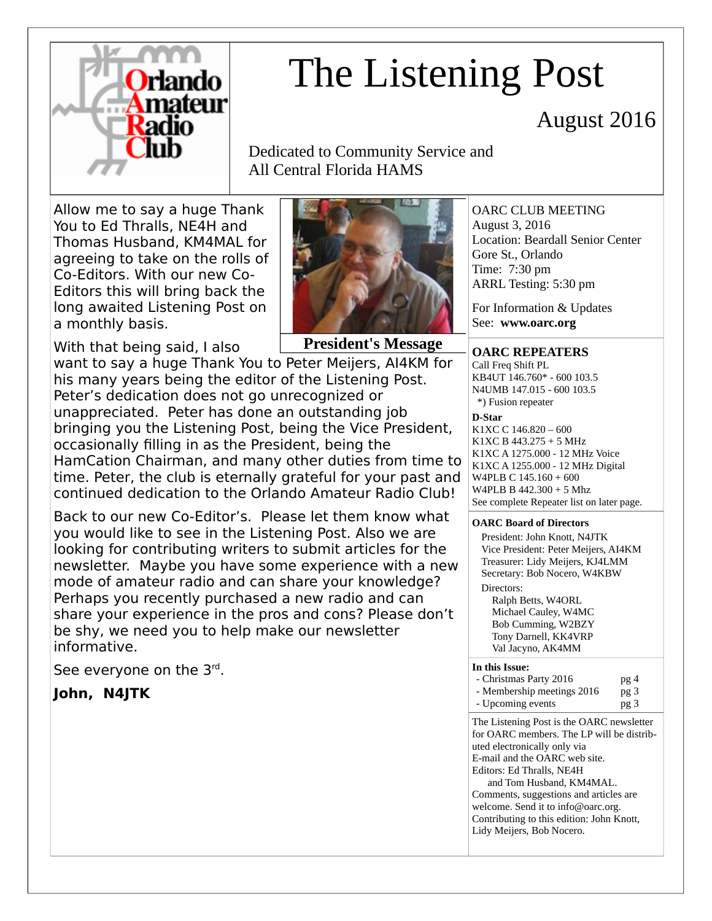

# The Listening Post

## August 2016

Dedicated to Community Service and All Central Florida HAMS

Allow me to say a huge Thank You to Ed Thralls, NE4H and Thomas Husband, KM4MAL for agreeing to take on the rolls of Co-Editors. With our new Co-Editors this will bring back the long awaited Listening Post on a monthly basis.

With that being said. I also



Back to our new Co-Editor's. Please let them know what you would like to see in the Listening Post. Also we are looking for contributing writers to submit articles for the newsletter. Maybe you have some experience with a new mode of amateur radio and can share your knowledge? Perhaps you recently purchased a new radio and can share your experience in the pros and cons? Please don't be shy, we need you to help make our newsletter informative.

See everyone on the 3rd.

#### **John, N4JTK**

OARC CLUB MEETING August 3, 2016 Location: Beardall Senior Center Gore St., Orlando Time: 7:30 pm ARRL Testing: 5:30 pm

For Information & Updates See: **www.oarc.org**

**OARC REPEATERS** Call Freq Shift PL KB4UT 146.760\* - 600 103.5 N4UMB 147.015 - 600 103.5 \*) Fusion repeater

**D-Star**

K1XC C 146.820 – 600 K1XC B 443.275 + 5 MHz K1XC A 1275.000 - 12 MHz Voice K1XC A 1255.000 - 12 MHz Digital W4PLB C 145.160 + 600 W4PLB B 442.300 + 5 Mhz See complete Repeater list on later page.

#### **OARC Board of Directors**

President: John Knott, N4JTK Vice President: Peter Meijers, AI4KM Treasurer: Lidy Meijers, KJ4LMM Secretary: Bob Nocero, W4KBW Directors: Ralph Betts, W4ORL Michael Cauley, W4MC Bob Cumming, W2BZY Tony Darnell, KK4VRP Val Jacyno, AK4MM **In this Issue:**

|  | - Christmas Party 2016<br>- Membership meetings 2016<br>- Upcoming events | pg 4<br>pg <sub>3</sub><br>pg 3 |
|--|---------------------------------------------------------------------------|---------------------------------|
|--|---------------------------------------------------------------------------|---------------------------------|

The Listening Post is the OARC newsletter for OARC members. The LP will be distributed electronically only via E-mail and the OARC web site. Editors: Ed Thralls, NE4H

 and Tom Husband, KM4MAL. Comments, suggestions and articles are welcome. Send it to info@oarc.org. Contributing to this edition: John Knott, Lidy Meijers, Bob Nocero.

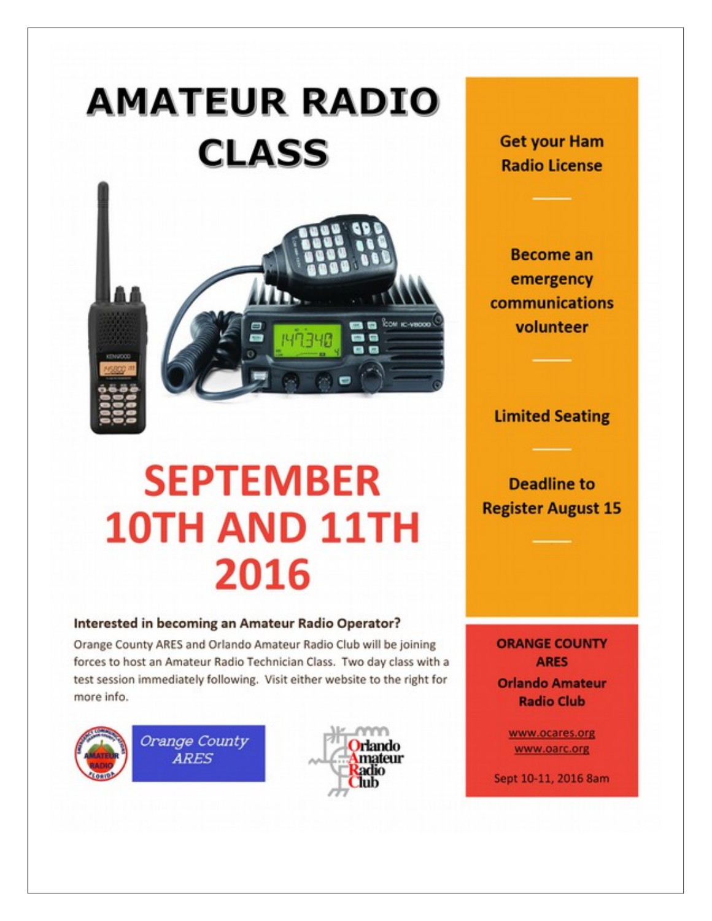# **AMATEUR RADIO CLASS**



# **SEPTEMBER 10TH AND 11TH** 2016

#### Interested in becoming an Amateur Radio Operator?

Orange County ARES and Orlando Amateur Radio Club will be joining forces to host an Amateur Radio Technician Class. Two day class with a test session immediately following. Visit either website to the right for more info.





**Get your Ham Radio License** 

**Become an** emergency communications volunteer

**Limited Seating** 

**Deadline to Register August 15** 

**ORANGE COUNTY ARES Orlando Amateur Radio Club** 

> www.ocares.org www.oarc.org

Sept 10-11, 2016 8am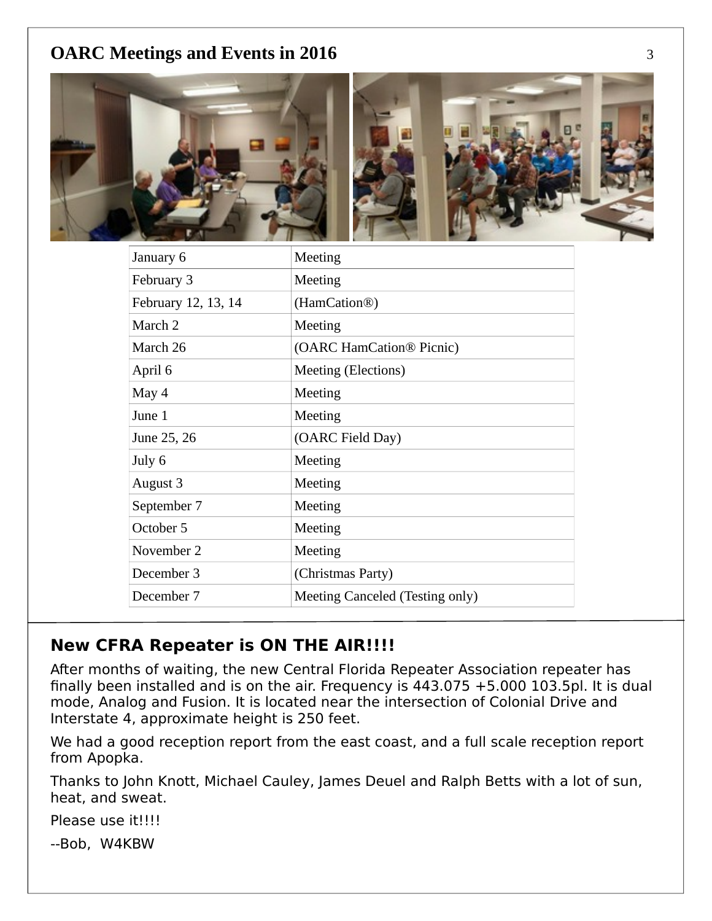### **OARC Meetings and Events in 2016** 3



| January 6           | Meeting                              |
|---------------------|--------------------------------------|
| February 3          | Meeting                              |
| February 12, 13, 14 | (HamCation <sup>®</sup> )            |
| March 2             | Meeting                              |
| March 26            | (OARC HamCation <sup>®</sup> Picnic) |
| April 6             | Meeting (Elections)                  |
| May 4               | Meeting                              |
| June 1              | Meeting                              |
| June 25, 26         | (OARC Field Day)                     |
| July 6              | Meeting                              |
| August 3            | Meeting                              |
| September 7         | Meeting                              |
| October 5           | Meeting                              |
| November 2          | Meeting                              |
| December 3          | (Christmas Party)                    |
| December 7          | Meeting Canceled (Testing only)      |

#### **New CFRA Repeater is ON THE AIR!!!!**

After months of waiting, the new Central Florida Repeater Association repeater has finally been installed and is on the air. Frequency is 443.075 +5.000 103.5pl. It is dual mode, Analog and Fusion. It is located near the intersection of Colonial Drive and Interstate 4, approximate height is 250 feet.

We had a good reception report from the east coast, and a full scale reception report from Apopka.

Thanks to John Knott, Michael Cauley, James Deuel and Ralph Betts with a lot of sun, heat, and sweat.

Please use it!!!!

--Bob, W4KBW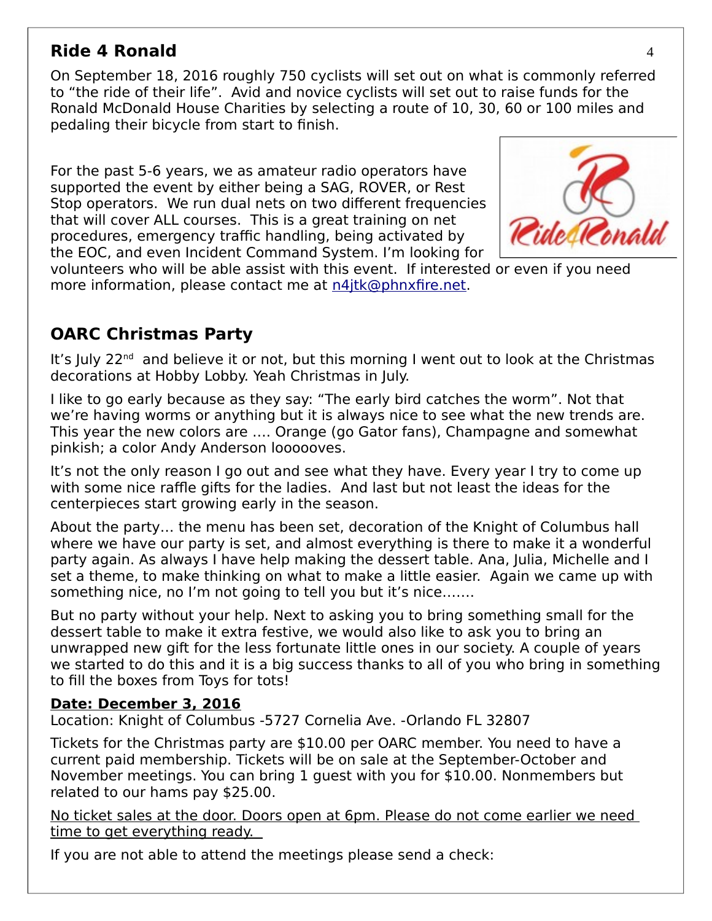### **Ride 4 Ronald** 4 **August 2 12 August 2 12 August 2 12 August 2 4 August 2 4 August 2 4 August 2 4 August 2 4 August 2 4 August 2 4 August 2 4 August 2 4 August 2 4 August 2 4 August 2 4 August 2 4 August 2 4 August 2 4 Au**

On September 18, 2016 roughly 750 cyclists will set out on what is commonly referred to "the ride of their life". Avid and novice cyclists will set out to raise funds for the Ronald McDonald House Charities by selecting a route of 10, 30, 60 or 100 miles and pedaling their bicycle from start to finish.

For the past 5-6 years, we as amateur radio operators have supported the event by either being a SAG, ROVER, or Rest Stop operators. We run dual nets on two different frequencies that will cover ALL courses. This is a great training on net procedures, emergency traffic handling, being activated by the EOC, and even Incident Command System. I'm looking for



volunteers who will be able assist with this event. If interested or even if you need more information, please contact me at [n4jtk@phnxfire.net.](mailto:n4jtk@phnxfire.net)

### **OARC Christmas Party**

It's July 22<sup>nd</sup> and believe it or not, but this morning I went out to look at the Christmas decorations at Hobby Lobby. Yeah Christmas in July.

I like to go early because as they say: "The early bird catches the worm". Not that we're having worms or anything but it is always nice to see what the new trends are. This year the new colors are …. Orange (go Gator fans), Champagne and somewhat pinkish; a color Andy Anderson loooooves.

It's not the only reason I go out and see what they have. Every year I try to come up with some nice raffle gifts for the ladies. And last but not least the ideas for the centerpieces start growing early in the season.

About the party… the menu has been set, decoration of the Knight of Columbus hall where we have our party is set, and almost everything is there to make it a wonderful party again. As always I have help making the dessert table. Ana, Julia, Michelle and I set a theme, to make thinking on what to make a little easier. Again we came up with something nice, no I'm not going to tell you but it's nice.......

But no party without your help. Next to asking you to bring something small for the dessert table to make it extra festive, we would also like to ask you to bring an unwrapped new gift for the less fortunate little ones in our society. A couple of years we started to do this and it is a big success thanks to all of you who bring in something to fill the boxes from Toys for tots!

#### **Date: December 3, 2016**

Location: Knight of Columbus -5727 Cornelia Ave. -Orlando FL 32807

Tickets for the Christmas party are \$10.00 per OARC member. You need to have a current paid membership. Tickets will be on sale at the September-October and November meetings. You can bring 1 guest with you for \$10.00. Nonmembers but related to our hams pay \$25.00.

No ticket sales at the door. Doors open at 6pm. Please do not come earlier we need time to get everything ready.

If you are not able to attend the meetings please send a check: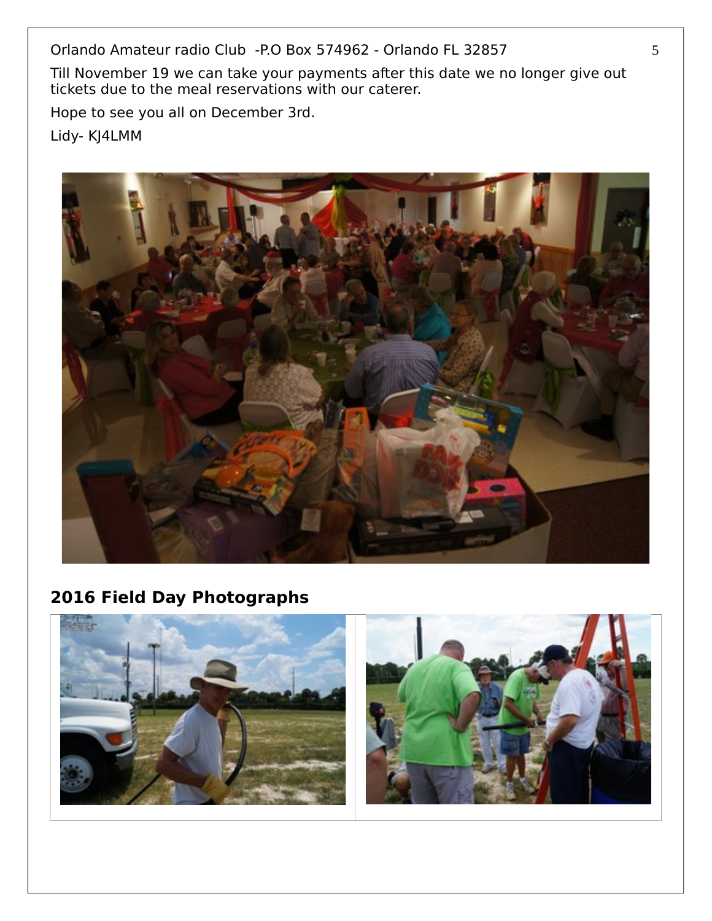Orlando Amateur radio Club -P.O Box 574962 - Orlando FL 32857

Till November 19 we can take your payments after this date we no longer give out tickets due to the meal reservations with our caterer.

Hope to see you all on December 3rd.

Lidy- KJ4LMM



## **2016 Field Day Photographs**

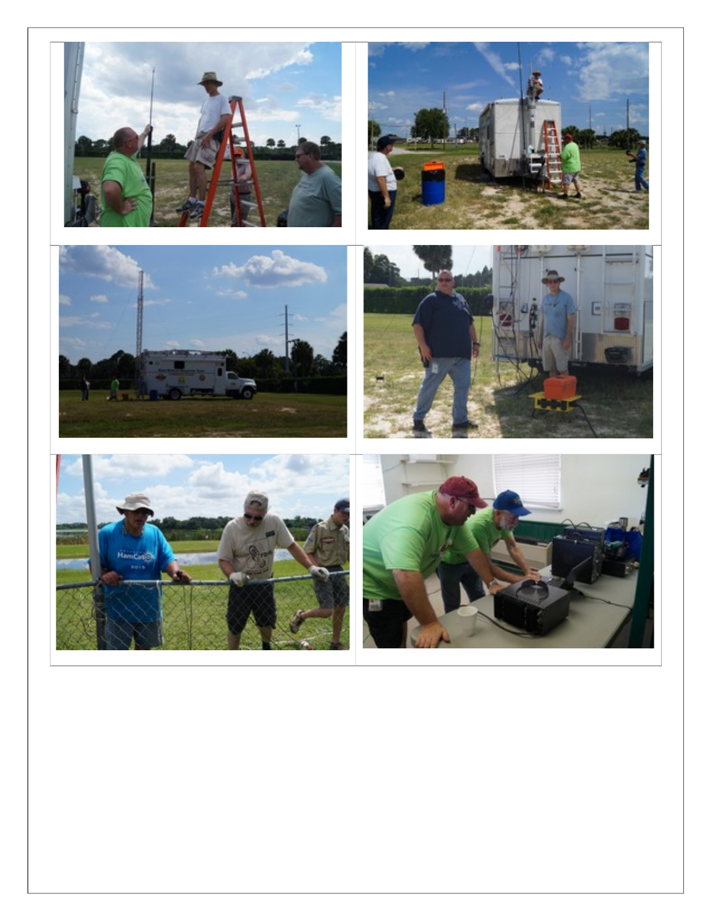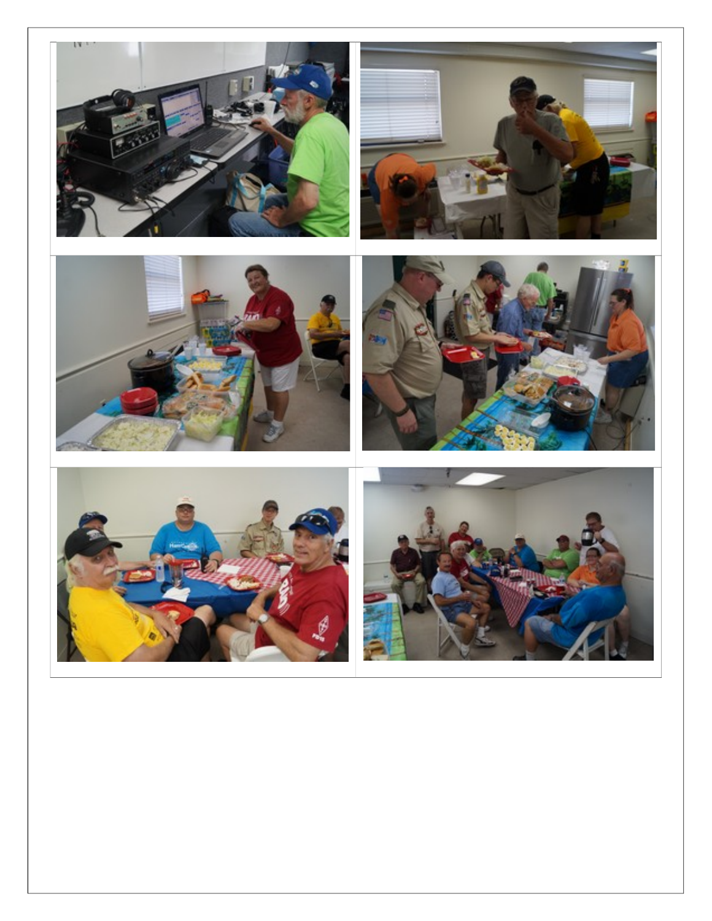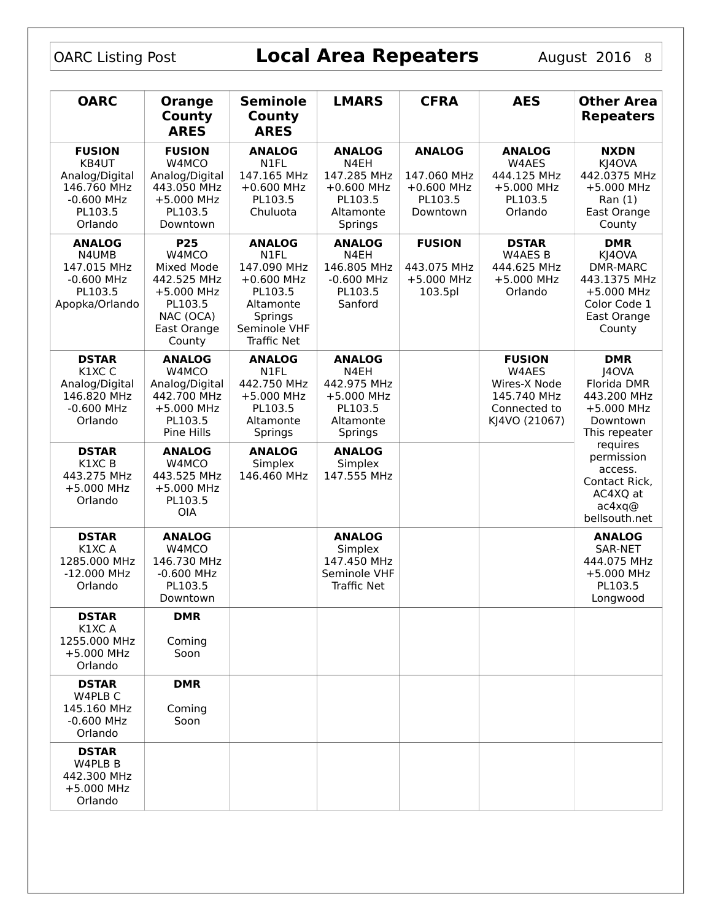## OARC Listing Post **Local Area Repeaters** August 2016 8

| <b>OARC</b>                                                                                   | <b>Orange</b><br>County<br><b>ARES</b>                                                                          | <b>Seminole</b><br>County<br><b>ARES</b>                                                                                      | <b>LMARS</b>                                                                            | <b>CFRA</b>                                                         | <b>AES</b>                                                                             | <b>Other Area</b><br><b>Repeaters</b>                                                                   |
|-----------------------------------------------------------------------------------------------|-----------------------------------------------------------------------------------------------------------------|-------------------------------------------------------------------------------------------------------------------------------|-----------------------------------------------------------------------------------------|---------------------------------------------------------------------|----------------------------------------------------------------------------------------|---------------------------------------------------------------------------------------------------------|
| <b>FUSION</b><br>KB4UT<br>Analog/Digital<br>146.760 MHz<br>$-0.600$ MHz<br>PL103.5<br>Orlando | <b>FUSION</b><br>W4MCO<br>Analog/Digital<br>443.050 MHz<br>+5.000 MHz<br>PL103.5<br>Downtown                    | <b>ANALOG</b><br>N1FL<br>147.165 MHz<br>$+0.600$ MHz<br>PL103.5<br>Chuluota                                                   | <b>ANALOG</b><br>N4EH<br>147.285 MHz<br>$+0.600$ MHz<br>PL103.5<br>Altamonte<br>Springs | <b>ANALOG</b><br>147.060 MHz<br>$+0.600$ MHz<br>PL103.5<br>Downtown | <b>ANALOG</b><br>W4AES<br>444.125 MHz<br>+5.000 MHz<br>PL103.5<br>Orlando              | <b>NXDN</b><br>KJ4OVA<br>442.0375 MHz<br>+5.000 MHz<br>Ran (1)<br>East Orange<br>County                 |
| <b>ANALOG</b><br>N4UMB<br>147.015 MHz<br>$-0.600$ MHz<br>PL103.5<br>Apopka/Orlando            | <b>P25</b><br>W4MCO<br>Mixed Mode<br>442.525 MHz<br>+5.000 MHz<br>PL103.5<br>NAC (OCA)<br>East Orange<br>County | <b>ANALOG</b><br>N1FL<br>147.090 MHz<br>$+0.600$ MHz<br>PL103.5<br>Altamonte<br>Springs<br>Seminole VHF<br><b>Traffic Net</b> | <b>ANALOG</b><br>N4EH<br>146.805 MHz<br>$-0.600$ MHz<br>PL103.5<br>Sanford              | <b>FUSION</b><br>443.075 MHz<br>+5.000 MHz<br>103.5pl               | <b>DSTAR</b><br>W4AES B<br>444.625 MHz<br>+5.000 MHz<br>Orlando                        | <b>DMR</b><br>KJ4OVA<br>DMR-MARC<br>443.1375 MHz<br>+5.000 MHz<br>Color Code 1<br>East Orange<br>County |
| <b>DSTAR</b><br>K1XC C<br>Analog/Digital<br>146.820 MHz<br>$-0.600$ MHz<br>Orlando            | <b>ANALOG</b><br>W4MCO<br>Analog/Digital<br>442.700 MHz<br>+5.000 MHz<br>PL103.5<br>Pine Hills                  | <b>ANALOG</b><br>N1FL<br>442.750 MHz<br>+5.000 MHz<br>PL103.5<br>Altamonte<br>Springs                                         | <b>ANALOG</b><br>N4EH<br>442.975 MHz<br>+5.000 MHz<br>PL103.5<br>Altamonte<br>Springs   |                                                                     | <b>FUSION</b><br>W4AES<br>Wires-X Node<br>145.740 MHz<br>Connected to<br>KJ4VO (21067) | <b>DMR</b><br>J4OVA<br>Florida DMR<br>443.200 MHz<br>$+5.000$ MHz<br>Downtown<br>This repeater          |
| <b>DSTAR</b><br>K1XC B<br>443.275 MHz<br>$+5.000$ MHz<br>Orlando                              | <b>ANALOG</b><br>W4MCO<br>443.525 MHz<br>+5.000 MHz<br>PL103.5<br><b>OIA</b>                                    | <b>ANALOG</b><br>Simplex<br>146.460 MHz                                                                                       | <b>ANALOG</b><br>Simplex<br>147.555 MHz                                                 |                                                                     |                                                                                        | requires<br>permission<br>access.<br>Contact Rick,<br>AC4XQ at<br>ac4xq@<br>bellsouth.net               |
| <b>DSTAR</b><br>K1XC A<br>1285.000 MHz<br>$-12.000$ MHz<br>Orlando                            | <b>ANALOG</b><br>W4MCO<br>146.730 MHz<br>$-0.600$ MHz<br>PL103.5<br>Downtown                                    |                                                                                                                               | <b>ANALOG</b><br>Simplex<br>147.450 MHz<br>Seminole VHF<br><b>Traffic Net</b>           |                                                                     |                                                                                        | <b>ANALOG</b><br>SAR-NET<br>444.075 MHz<br>+5.000 MHz<br>PL103.5<br>Longwood                            |
| <b>DSTAR</b><br>K1XC A<br>1255.000 MHz<br>+5.000 MHz<br>Orlando                               | <b>DMR</b><br>Coming<br>Soon                                                                                    |                                                                                                                               |                                                                                         |                                                                     |                                                                                        |                                                                                                         |
| <b>DSTAR</b><br>W4PLB C<br>145.160 MHz<br>$-0.600$ MHz<br>Orlando                             | <b>DMR</b><br>Coming<br>Soon                                                                                    |                                                                                                                               |                                                                                         |                                                                     |                                                                                        |                                                                                                         |
| <b>DSTAR</b><br>W4PLB B<br>442.300 MHz<br>+5.000 MHz<br>Orlando                               |                                                                                                                 |                                                                                                                               |                                                                                         |                                                                     |                                                                                        |                                                                                                         |